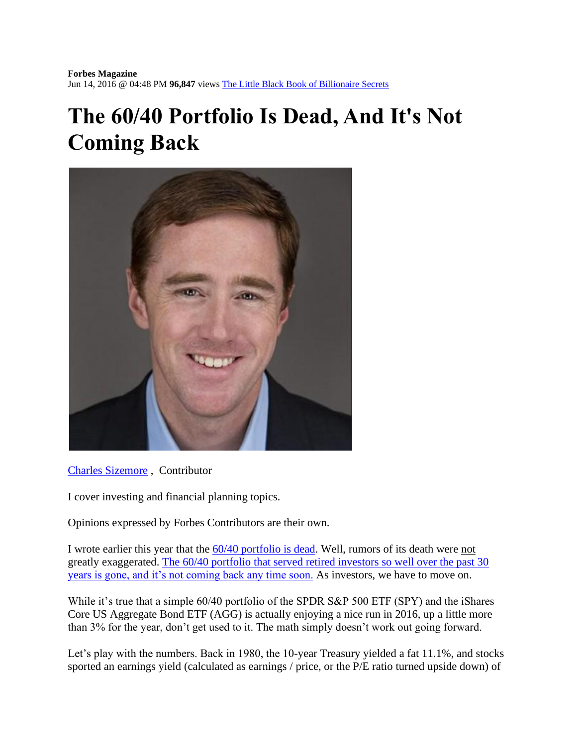## **The 60/40 Portfolio Is Dead, And It's Not Coming Back**



[Charles Sizemore](http://www.forbes.com/sites/charlessizemore/) , Contributor

I cover investing and financial planning topics.

Opinions expressed by Forbes Contributors are their own.

I wrote earlier this year that the [60/40 portfolio is dead.](http://charlessizemore.com/60-40-is-dead/) Well, rumors of its death were not greatly exaggerated. [The 60/40 portfolio that served retired investors so well over the past 30](https://twitter.com/intent/tweet?url=http%3A%2F%2Fwww.forbes.com%2Fsites%2Fcharlessizemore%2F2016%2F06%2F14%2Fthe-6040-portfolio-is-dead-and-its-not-coming-back%2F&text=The%2060%2F40%20portfolio%20is%20gone...%20and%20it%27s%20not%20coming%20back%20any%20time%20soon.)  [years is gone, and it's not coming back any time soon.](https://twitter.com/intent/tweet?url=http%3A%2F%2Fwww.forbes.com%2Fsites%2Fcharlessizemore%2F2016%2F06%2F14%2Fthe-6040-portfolio-is-dead-and-its-not-coming-back%2F&text=The%2060%2F40%20portfolio%20is%20gone...%20and%20it%27s%20not%20coming%20back%20any%20time%20soon.) As investors, we have to move on.

While it's true that a simple 60/40 portfolio of the SPDR S&P 500 ETF (SPY) and the iShares Core US Aggregate Bond ETF (AGG) is actually enjoying a nice run in 2016, up a little more than 3% for the year, don't get used to it. The math simply doesn't work out going forward.

Let's play with the numbers. Back in 1980, the 10-year Treasury yielded a fat 11.1%, and stocks sported an earnings yield (calculated as earnings / price, or the P/E ratio turned upside down) of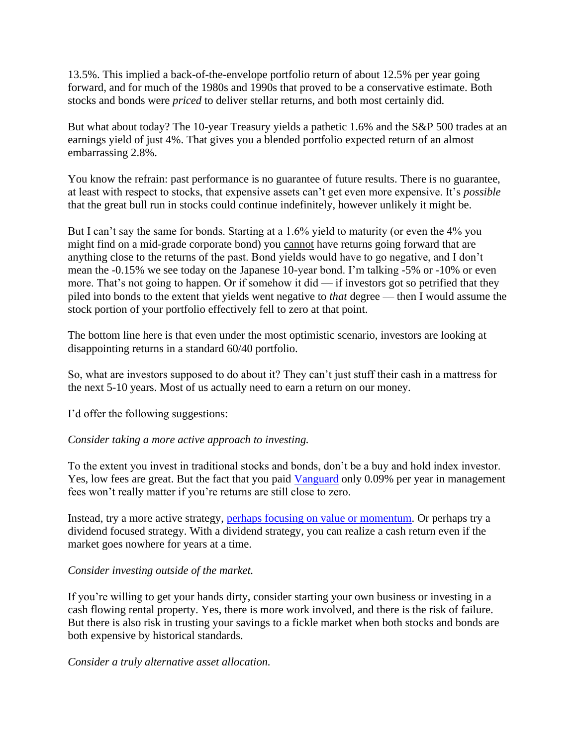13.5%. This implied a back-of-the-envelope portfolio return of about 12.5% per year going forward, and for much of the 1980s and 1990s that proved to be a conservative estimate. Both stocks and bonds were *priced* to deliver stellar returns, and both most certainly did.

But what about today? The 10-year Treasury yields a pathetic 1.6% and the S&P 500 trades at an earnings yield of just 4%. That gives you a blended portfolio expected return of an almost embarrassing 2.8%.

You know the refrain: past performance is no guarantee of future results. There is no guarantee, at least with respect to stocks, that expensive assets can't get even more expensive. It's *possible* that the great bull run in stocks could continue indefinitely, however unlikely it might be.

But I can't say the same for bonds. Starting at a 1.6% yield to maturity (or even the 4% you might find on a mid-grade corporate bond) you cannot have returns going forward that are anything close to the returns of the past. Bond yields would have to go negative, and I don't mean the -0.15% we see today on the Japanese 10-year bond. I'm talking -5% or -10% or even more. That's not going to happen. Or if somehow it did — if investors got so petrified that they piled into bonds to the extent that yields went negative to *that* degree — then I would assume the stock portion of your portfolio effectively fell to zero at that point.

The bottom line here is that even under the most optimistic scenario, investors are looking at disappointing returns in a standard 60/40 portfolio.

So, what are investors supposed to do about it? They can't just stuff their cash in a mattress for the next 5-10 years. Most of us actually need to earn a return on our money.

I'd offer the following suggestions:

## *Consider taking a more active approach to investing.*

To the extent you invest in traditional stocks and bonds, don't be a buy and hold index investor. Yes, low fees are great. But the fact that you paid [Vanguard](http://www.forbes.com/companies/vanguard/) only 0.09% per year in management fees won't really matter if you're returns are still close to zero.

Instead, try a more active strategy, [perhaps focusing on value or momentum.](http://charlessizemore.com/value-or-momentum-try-both/) Or perhaps try a dividend focused strategy. With a dividend strategy, you can realize a cash return even if the market goes nowhere for years at a time.

## *Consider investing outside of the market.*

If you're willing to get your hands dirty, consider starting your own business or investing in a cash flowing rental property. Yes, there is more work involved, and there is the risk of failure. But there is also risk in trusting your savings to a fickle market when both stocks and bonds are both expensive by historical standards.

## *Consider a truly alternative asset allocation.*